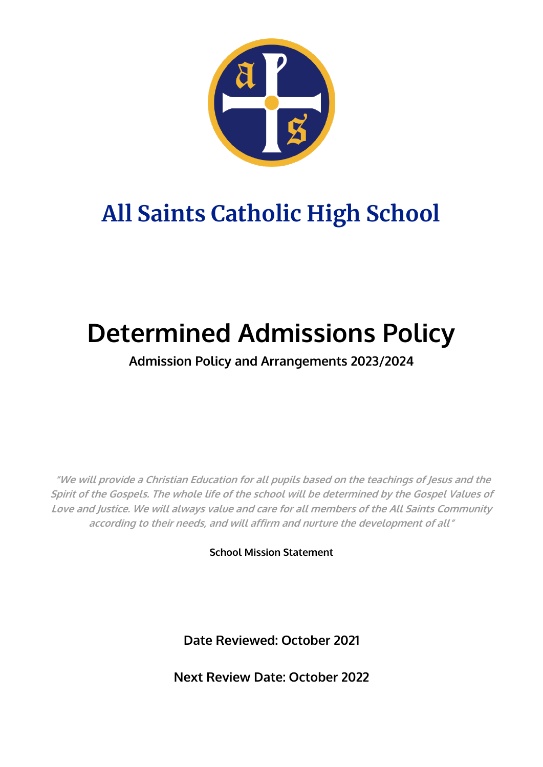

## **All Saints Catholic High School**

# **Determined Admissions Policy**

### **Admission Policy and Arrangements 2023/2024**

**"We will provide a Christian Education for all pupils based on the teachings of Jesus and the Spirit of the Gospels. The whole life of the school will be determined by the Gospel Values of Love and Justice. We will always value and care for all members of the All Saints Community according to their needs, and will affirm and nurture the development of all"**

**School Mission Statement**

**Date Reviewed: October 2021**

**Next Review Date: October 2022**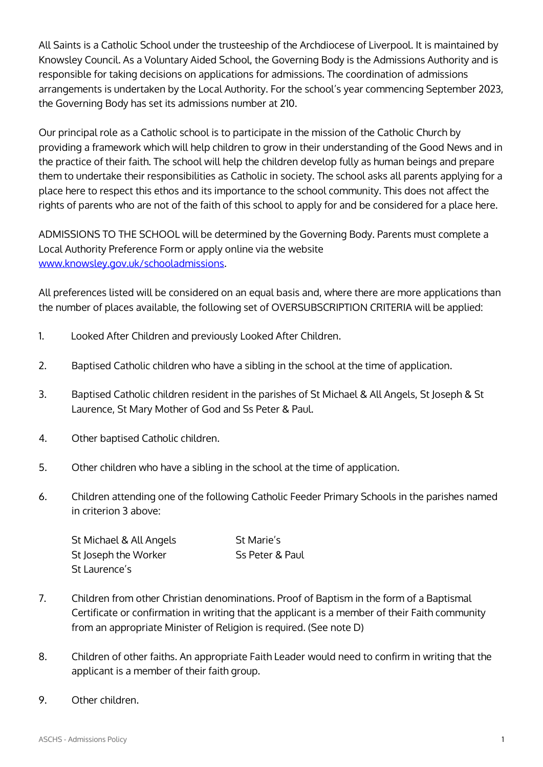All Saints is a Catholic School under the trusteeship of the Archdiocese of Liverpool. It is maintained by Knowsley Council. As a Voluntary Aided School, the Governing Body is the Admissions Authority and is responsible for taking decisions on applications for admissions. The coordination of admissions arrangements is undertaken by the Local Authority. For the school's year commencing September 2023, the Governing Body has set its admissions number at 210.

Our principal role as a Catholic school is to participate in the mission of the Catholic Church by providing a framework which will help children to grow in their understanding of the Good News and in the practice of their faith. The school will help the children develop fully as human beings and prepare them to undertake their responsibilities as Catholic in society. The school asks all parents applying for a place here to respect this ethos and its importance to the school community. This does not affect the rights of parents who are not of the faith of this school to apply for and be considered for a place here.

ADMISSIONS TO THE SCHOOL will be determined by the Governing Body. Parents must complete a Local Authority Preference Form or apply online via the website [www.knowsley.gov.uk/schooladmissions.](http://www.knowsley.gov.uk/schooladmissions)

All preferences listed will be considered on an equal basis and, where there are more applications than the number of places available, the following set of OVERSUBSCRIPTION CRITERIA will be applied:

- 1. Looked After Children and previously Looked After Children.
- 2. Baptised Catholic children who have a sibling in the school at the time of application.
- 3. Baptised Catholic children resident in the parishes of St Michael & All Angels, St Joseph & St Laurence, St Mary Mother of God and Ss Peter & Paul.
- 4. Other baptised Catholic children.
- 5. Other children who have a sibling in the school at the time of application.
- 6. Children attending one of the following Catholic Feeder Primary Schools in the parishes named in criterion 3 above:

| St Michael & All Angels | St Marie's      |
|-------------------------|-----------------|
| St Joseph the Worker    | Ss Peter & Paul |
| St Laurence's           |                 |

- 7. Children from other Christian denominations. Proof of Baptism in the form of a Baptismal Certificate or confirmation in writing that the applicant is a member of their Faith community from an appropriate Minister of Religion is required. (See note D)
- 8. Children of other faiths. An appropriate Faith Leader would need to confirm in writing that the applicant is a member of their faith group.
- 9. Other children.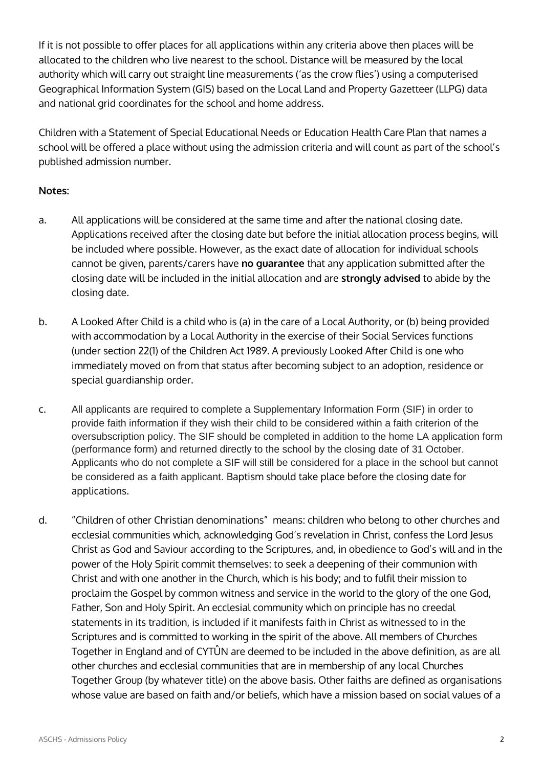If it is not possible to offer places for all applications within any criteria above then places will be allocated to the children who live nearest to the school. Distance will be measured by the local authority which will carry out straight line measurements ('as the crow flies') using a computerised Geographical Information System (GIS) based on the Local Land and Property Gazetteer (LLPG) data and national grid coordinates for the school and home address.

Children with a Statement of Special Educational Needs or Education Health Care Plan that names a school will be offered a place without using the admission criteria and will count as part of the school's published admission number.

### **Notes:**

- a. All applications will be considered at the same time and after the national closing date. Applications received after the closing date but before the initial allocation process begins, will be included where possible. However, as the exact date of allocation for individual schools cannot be given, parents/carers have **no guarantee** that any application submitted after the closing date will be included in the initial allocation and are **strongly advised** to abide by the closing date.
- b. A Looked After Child is a child who is (a) in the care of a Local Authority, or (b) being provided with accommodation by a Local Authority in the exercise of their Social Services functions (under section 22(1) of the Children Act 1989. A previously Looked After Child is one who immediately moved on from that status after becoming subject to an adoption, residence or special guardianship order.
- c. All applicants are required to complete a Supplementary Information Form (SIF) in order to provide faith information if they wish their child to be considered within a faith criterion of the oversubscription policy. The SIF should be completed in addition to the home LA application form (performance form) and returned directly to the school by the closing date of 31 October. Applicants who do not complete a SIF will still be considered for a place in the school but cannot be considered as a faith applicant. Baptism should take place before the closing date for applications.
- d. "Children of other Christian denominations" means: children who belong to other churches and ecclesial communities which, acknowledging God's revelation in Christ, confess the Lord Jesus Christ as God and Saviour according to the Scriptures, and, in obedience to God's will and in the power of the Holy Spirit commit themselves: to seek a deepening of their communion with Christ and with one another in the Church, which is his body; and to fulfil their mission to proclaim the Gospel by common witness and service in the world to the glory of the one God, Father, Son and Holy Spirit. An ecclesial community which on principle has no creedal statements in its tradition, is included if it manifests faith in Christ as witnessed to in the Scriptures and is committed to working in the spirit of the above. All members of Churches Together in England and of CYTÛN are deemed to be included in the above definition, as are all other churches and ecclesial communities that are in membership of any local Churches Together Group (by whatever title) on the above basis. Other faiths are defined as organisations whose value are based on faith and/or beliefs, which have a mission based on social values of a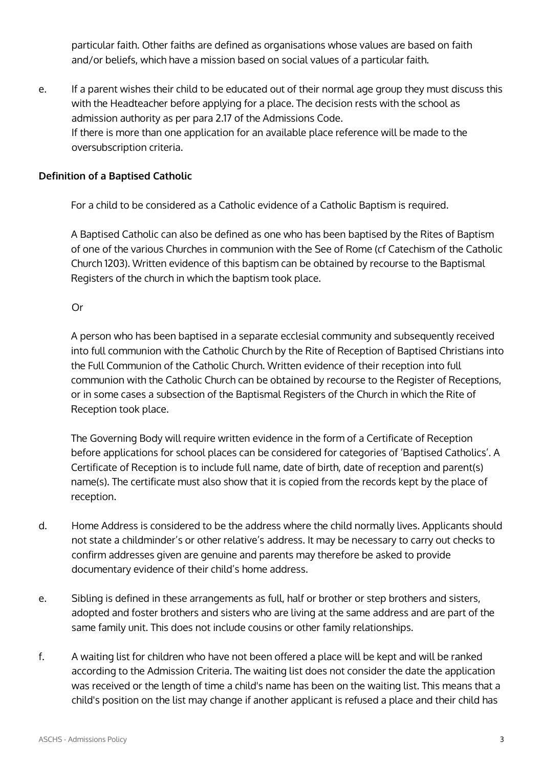particular faith. Other faiths are defined as organisations whose values are based on faith and/or beliefs, which have a mission based on social values of a particular faith.

e. If a parent wishes their child to be educated out of their normal age group they must discuss this with the Headteacher before applying for a place. The decision rests with the school as admission authority as per para 2.17 of the Admissions Code. If there is more than one application for an available place reference will be made to the oversubscription criteria.

### **Definition of a Baptised Catholic**

For a child to be considered as a Catholic evidence of a Catholic Baptism is required.

A Baptised Catholic can also be defined as one who has been baptised by the Rites of Baptism of one of the various Churches in communion with the See of Rome (cf Catechism of the Catholic Church 1203). Written evidence of this baptism can be obtained by recourse to the Baptismal Registers of the church in which the baptism took place.

#### Or

A person who has been baptised in a separate ecclesial community and subsequently received into full communion with the Catholic Church by the Rite of Reception of Baptised Christians into the Full Communion of the Catholic Church. Written evidence of their reception into full communion with the Catholic Church can be obtained by recourse to the Register of Receptions, or in some cases a subsection of the Baptismal Registers of the Church in which the Rite of Reception took place.

The Governing Body will require written evidence in the form of a Certificate of Reception before applications for school places can be considered for categories of 'Baptised Catholics'. A Certificate of Reception is to include full name, date of birth, date of reception and parent(s) name(s). The certificate must also show that it is copied from the records kept by the place of reception.

- d. Home Address is considered to be the address where the child normally lives. Applicants should not state a childminder's or other relative's address. It may be necessary to carry out checks to confirm addresses given are genuine and parents may therefore be asked to provide documentary evidence of their child's home address.
- e. Sibling is defined in these arrangements as full, half or brother or step brothers and sisters, adopted and foster brothers and sisters who are living at the same address and are part of the same family unit. This does not include cousins or other family relationships.
- f. A waiting list for children who have not been offered a place will be kept and will be ranked according to the Admission Criteria. The waiting list does not consider the date the application was received or the length of time a child's name has been on the waiting list. This means that a child's position on the list may change if another applicant is refused a place and their child has